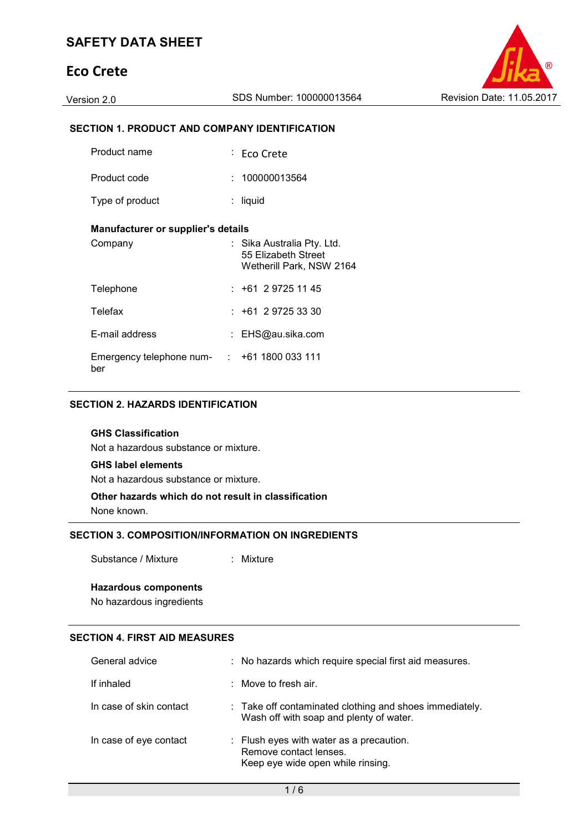# **Eco Crete**

### **SECTION 1. PRODUCT AND COMPANY IDENTIFICATION**

| Product name                       | ∶ Eco Crete                                                                 |
|------------------------------------|-----------------------------------------------------------------------------|
| Product code                       | : 100000013564                                                              |
| Type of product                    | liquid                                                                      |
| Manufacturer or supplier's details |                                                                             |
| Company                            | Sika Australia Pty. Ltd.<br>55 Elizabeth Street<br>Wetherill Park, NSW 2164 |
| Telephone                          | $: +61297251145$                                                            |
| Telefax                            | $: +61 \ 2 \ 9725 \ 33 \ 30$                                                |
| E-mail address                     | : EHS@au.sika.com                                                           |
| Emergency telephone num-<br>ber    | : 1611800033111                                                             |

#### **SECTION 2. HAZARDS IDENTIFICATION**

#### **GHS Classification**

Not a hazardous substance or mixture.

#### **GHS label elements**

Not a hazardous substance or mixture.

## **Other hazards which do not result in classification**

None known.

### **SECTION 3. COMPOSITION/INFORMATION ON INGREDIENTS**

Substance / Mixture : Mixture

#### **Hazardous components**

No hazardous ingredients

#### **SECTION 4. FIRST AID MEASURES**

| General advice          | : No hazards which require special first aid measures.                                                  |
|-------------------------|---------------------------------------------------------------------------------------------------------|
| If inhaled              | $\therefore$ Move to fresh air.                                                                         |
| In case of skin contact | : Take off contaminated clothing and shoes immediately.<br>Wash off with soap and plenty of water.      |
| In case of eye contact  | : Flush eyes with water as a precaution.<br>Remove contact lenses.<br>Keep eye wide open while rinsing. |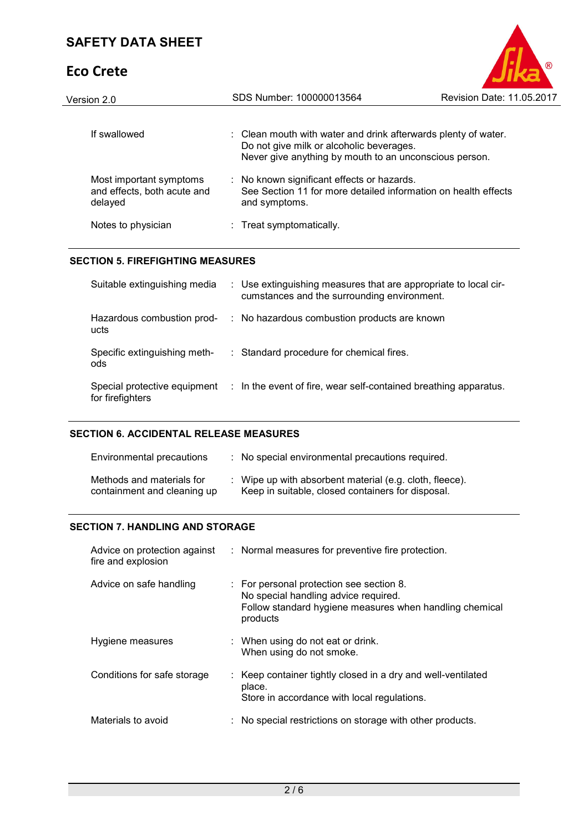# **Eco Crete**



| Version 2.0                                                       | SDS Number: 100000013564                                                                                                                                             | Revision Date: 11.05.2017 |
|-------------------------------------------------------------------|----------------------------------------------------------------------------------------------------------------------------------------------------------------------|---------------------------|
| If swallowed                                                      | : Clean mouth with water and drink afterwards plenty of water.<br>Do not give milk or alcoholic beverages.<br>Never give anything by mouth to an unconscious person. |                           |
| Most important symptoms<br>and effects, both acute and<br>delayed | : No known significant effects or hazards.<br>See Section 11 for more detailed information on health effects<br>and symptoms.                                        |                           |
| Notes to physician                                                | : Treat symptomatically.                                                                                                                                             |                           |

#### **SECTION 5. FIREFIGHTING MEASURES**

| Suitable extinguishing media                     | : Use extinguishing measures that are appropriate to local cir-<br>cumstances and the surrounding environment. |
|--------------------------------------------------|----------------------------------------------------------------------------------------------------------------|
| Hazardous combustion prod-<br>ucts               | : No hazardous combustion products are known                                                                   |
| Specific extinguishing meth-<br>ods              | : Standard procedure for chemical fires.                                                                       |
| Special protective equipment<br>for firefighters | : In the event of fire, wear self-contained breathing apparatus.                                               |

#### **SECTION 6. ACCIDENTAL RELEASE MEASURES**

| Environmental precautions                                | : No special environmental precautions required.                                                             |
|----------------------------------------------------------|--------------------------------------------------------------------------------------------------------------|
| Methods and materials for<br>containment and cleaning up | : Wipe up with absorbent material (e.g. cloth, fleece).<br>Keep in suitable, closed containers for disposal. |

#### **SECTION 7. HANDLING AND STORAGE**

| Advice on protection against<br>fire and explosion | : Normal measures for preventive fire protection.                                                                                                       |
|----------------------------------------------------|---------------------------------------------------------------------------------------------------------------------------------------------------------|
| Advice on safe handling                            | : For personal protection see section 8.<br>No special handling advice required.<br>Follow standard hygiene measures when handling chemical<br>products |
| Hygiene measures                                   | : When using do not eat or drink.<br>When using do not smoke.                                                                                           |
| Conditions for safe storage                        | : Keep container tightly closed in a dry and well-ventilated<br>place.<br>Store in accordance with local regulations.                                   |
| Materials to avoid                                 | : No special restrictions on storage with other products.                                                                                               |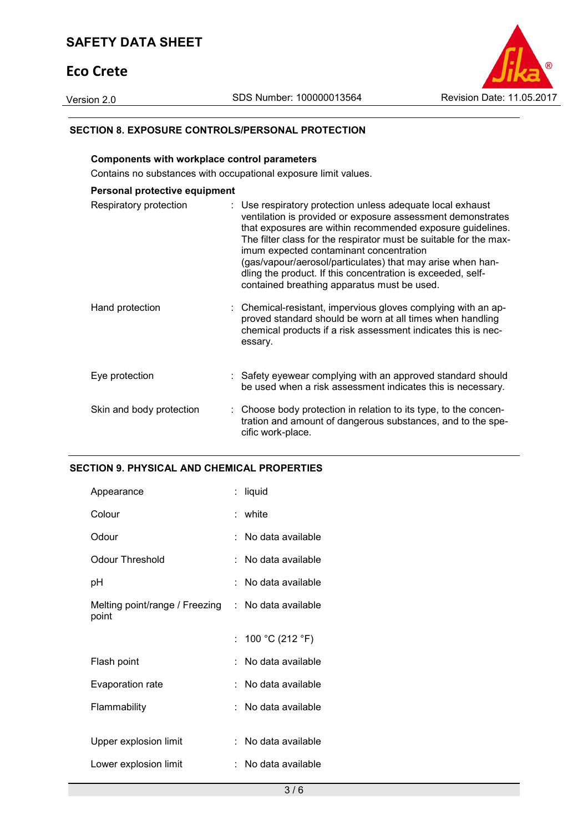## **SAFETY DATA SHEET**

## **Eco Crete**



#### **SECTION 8. EXPOSURE CONTROLS/PERSONAL PROTECTION**

#### **Components with workplace control parameters**

Contains no substances with occupational exposure limit values.

| Personal protective equipment |                                                                                                                                                                                                                                                                                                                                                                                                                                                                                     |
|-------------------------------|-------------------------------------------------------------------------------------------------------------------------------------------------------------------------------------------------------------------------------------------------------------------------------------------------------------------------------------------------------------------------------------------------------------------------------------------------------------------------------------|
| Respiratory protection        | : Use respiratory protection unless adequate local exhaust<br>ventilation is provided or exposure assessment demonstrates<br>that exposures are within recommended exposure guidelines.<br>The filter class for the respirator must be suitable for the max-<br>imum expected contaminant concentration<br>(gas/vapour/aerosol/particulates) that may arise when han-<br>dling the product. If this concentration is exceeded, self-<br>contained breathing apparatus must be used. |
| Hand protection               | : Chemical-resistant, impervious gloves complying with an ap-<br>proved standard should be worn at all times when handling<br>chemical products if a risk assessment indicates this is nec-<br>essary.                                                                                                                                                                                                                                                                              |
| Eye protection                | : Safety eyewear complying with an approved standard should<br>be used when a risk assessment indicates this is necessary.                                                                                                                                                                                                                                                                                                                                                          |
| Skin and body protection      | : Choose body protection in relation to its type, to the concen-<br>tration and amount of dangerous substances, and to the spe-<br>cific work-place.                                                                                                                                                                                                                                                                                                                                |

#### **SECTION 9. PHYSICAL AND CHEMICAL PROPERTIES**

| Appearance                              |    | liquid              |
|-----------------------------------------|----|---------------------|
| Colour                                  |    | : white             |
| Odour                                   |    | No data available   |
| Odour Threshold                         |    | No data available   |
| рH                                      |    | No data available   |
| Melting point/range / Freezing<br>point |    | : No data available |
|                                         |    |                     |
|                                         | t. | 100 °C (212 °F)     |
| Flash point                             |    | No data available   |
| <b>Evaporation rate</b>                 |    | No data available   |
| Flammability                            |    | No data available   |
|                                         |    |                     |
| Upper explosion limit                   |    | No data available   |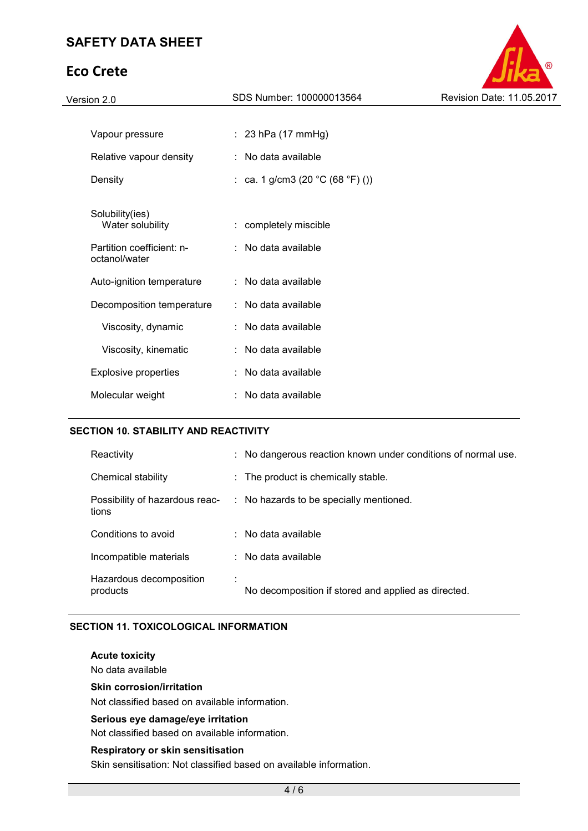# **Eco Crete**



| Version 2.0                                | SDS Number: 100000013564                             | Revision Date: 11.05.2017 |
|--------------------------------------------|------------------------------------------------------|---------------------------|
|                                            |                                                      |                           |
| Vapour pressure                            | $: 23$ hPa (17 mmHg)                                 |                           |
| Relative vapour density                    | : No data available                                  |                           |
| Density                                    | : ca. 1 g/cm3 (20 $^{\circ}$ C (68 $^{\circ}$ F) ()) |                           |
|                                            |                                                      |                           |
| Solubility(ies)<br>Water solubility        | : completely miscible                                |                           |
| Partition coefficient: n-<br>octanol/water | $\therefore$ No data available                       |                           |
| Auto-ignition temperature                  | : No data available                                  |                           |
| Decomposition temperature                  | : No data available                                  |                           |
| Viscosity, dynamic                         | : No data available                                  |                           |
| Viscosity, kinematic                       | : No data available                                  |                           |
| <b>Explosive properties</b>                | : No data available                                  |                           |
| Molecular weight                           | : No data available                                  |                           |
|                                            |                                                      |                           |

### **SECTION 10. STABILITY AND REACTIVITY**

| Reactivity                              | : No dangerous reaction known under conditions of normal use. |
|-----------------------------------------|---------------------------------------------------------------|
| Chemical stability                      | : The product is chemically stable.                           |
| Possibility of hazardous reac-<br>tions | : No hazards to be specially mentioned.                       |
| Conditions to avoid                     | $\therefore$ No data available                                |
| Incompatible materials                  | $\therefore$ No data available                                |
| Hazardous decomposition<br>products     | No decomposition if stored and applied as directed.           |

#### **SECTION 11. TOXICOLOGICAL INFORMATION**

**Acute toxicity** 

No data available

**Skin corrosion/irritation** 

Not classified based on available information.

#### **Serious eye damage/eye irritation**

Not classified based on available information.

#### **Respiratory or skin sensitisation**

Skin sensitisation: Not classified based on available information.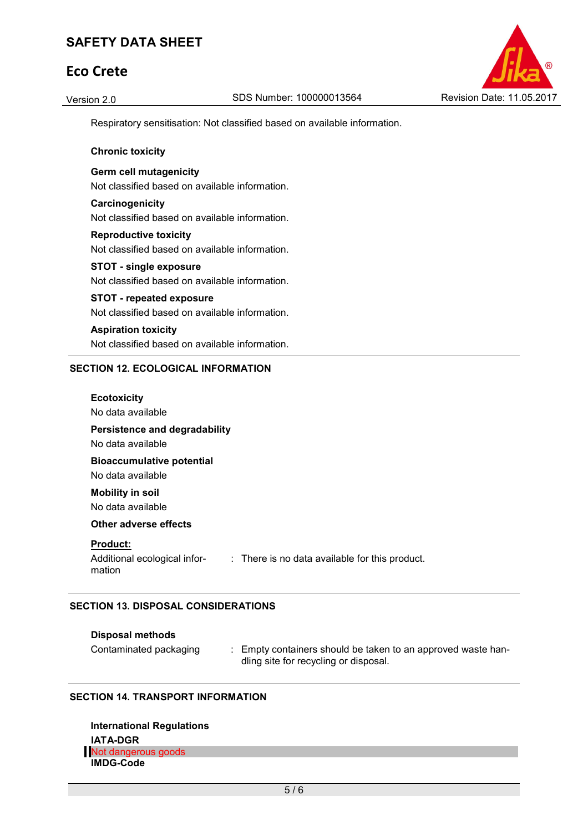## **SAFETY DATA SHEET**

## **Eco Crete**



Respiratory sensitisation: Not classified based on available information.

#### **Chronic toxicity**

**Germ cell mutagenicity**  Not classified based on available information.

**Carcinogenicity**  Not classified based on available information.

**Reproductive toxicity**  Not classified based on available information.

**STOT - single exposure**  Not classified based on available information.

## **STOT - repeated exposure**

Not classified based on available information.

**Aspiration toxicity**  Not classified based on available information.

#### **SECTION 12. ECOLOGICAL INFORMATION**

| <b>Ecotoxicity</b><br>No data available                                                                                |  |
|------------------------------------------------------------------------------------------------------------------------|--|
| Persistence and degradability<br>No data available                                                                     |  |
| <b>Bioaccumulative potential</b><br>No data available                                                                  |  |
| <b>Mobility in soil</b><br>No data available                                                                           |  |
| Other adverse effects                                                                                                  |  |
| <b>Product:</b><br>Additional ecological infor-<br>$\therefore$ There is no data available for this product.<br>mation |  |

#### **SECTION 13. DISPOSAL CONSIDERATIONS**

| <b>Disposal methods</b> |  |
|-------------------------|--|
|-------------------------|--|

Contaminated packaging : Empty containers should be taken to an approved waste handling site for recycling or disposal.

#### **SECTION 14. TRANSPORT INFORMATION**

**International Regulations IATA-DGR** Not dangerous goods **IMDG-Code**